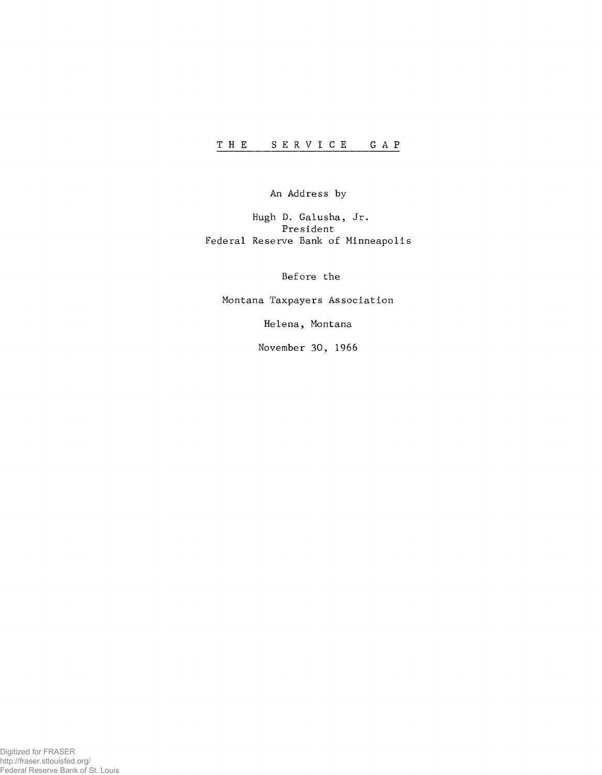An Address by

Hugh D. Galusha, Jr. President Federal Reserve Bank of Minneapolis

Before the

Montana Taxpayers Association

Helena, Montana

November 30, 1966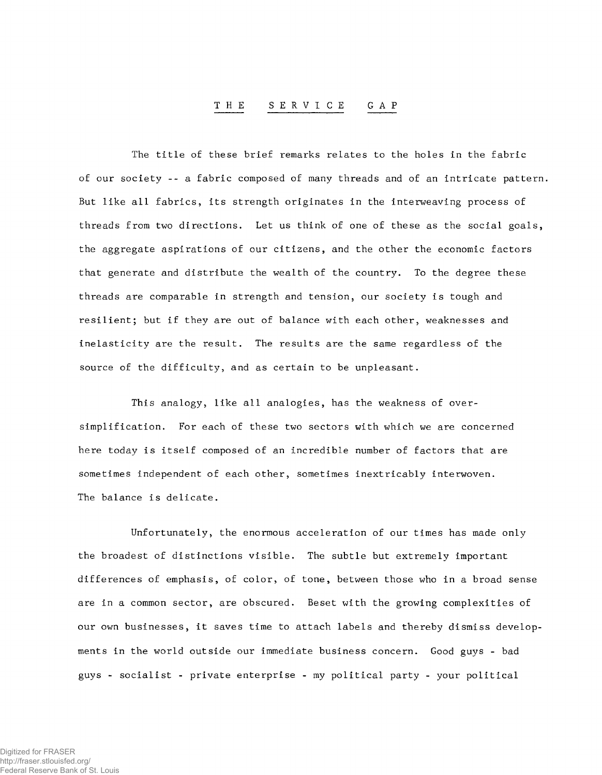## **THE SERVICE GAP**

The title of these brief remarks relates to the holes in the fabric of our society -- a fabric composed of many threads and of an intricate pattern. But like all fabrics, its strength originates in the interweaving process of threads from two directions. Let us think of one of these as the social goals, the aggregate aspirations of our citizens, and the other the economic factors that generate and distribute the wealth of the country. To the degree these threads are comparable in strength and tension, our society is tough and resilient; but if they are out of balance with each other, weaknesses and inelasticity are the result. The results are the same regardless of the source of the difficulty, and as certain to be unpleasant.

This analogy, like all analogies, has the weakness of oversimplification. For each of these two sectors with which we are concerned here today is itself composed of an incredible number of factors that are sometimes independent of each other, sometimes inextricably interwoven. The balance is delicate.

Unfortunately, the enormous acceleration of our times has made only the broadest of distinctions visible. The subtle but extremely important differences of emphasis, of color, of tone, between those who in a broad sense are in a common sector, are obscured. Beset with the growing complexities of our own businesses, it saves time to attach labels and thereby dismiss developments in the world outside our immediate business concern. Good guys - bad guys - socialist - private enterprise - my political party - your political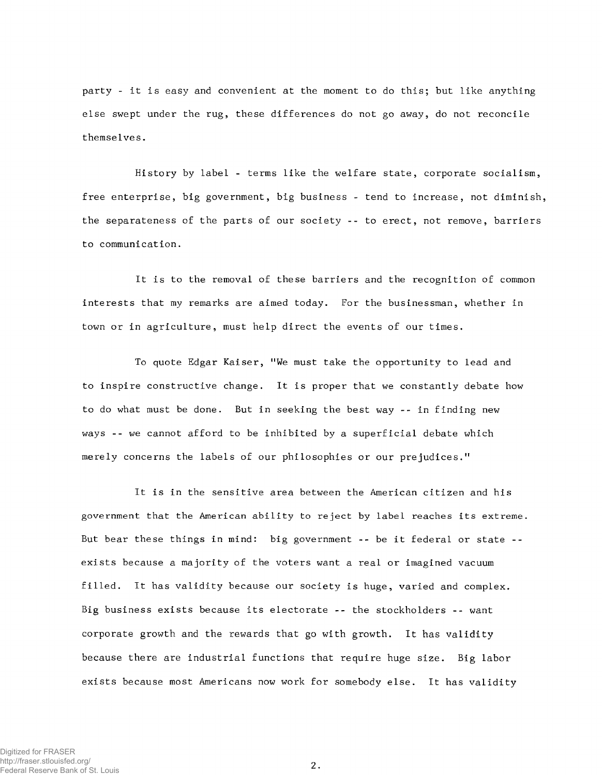party - it is easy and convenient at the moment to do this; but like anything else swept under the rug, these differences do not go away, do not reconcile themselves.

History by label - terms like the welfare state, corporate socialism, free enterprise, big government, big business - tend to increase, not diminish, the separateness of the parts of our society -- to erect, not remove, barriers to communication.

It is to the removal of these barriers and the recognition of common interests that my remarks are aimed today. For the businessman, whether in town or in agriculture, must help direct the events of our times.

To quote Edgar Kaiser, "We must take the opportunity to lead and to inspire constructive change. It is proper that we constantly debate how to do what must be done. But in seeking the best way -- in finding new ways --we cannot afford to be inhibited by a superficial debate which merely concerns the labels of our philosophies or our prejudices."

It is in the sensitive area between the American citizen and his government that the American ability to reject by label reaches its extreme. But bear these things in mind: big government -- be it federal or state - exists because a majority of the voters want a real or imagined vacuum filled. It has validity because our society is huge, varied and complex. Big business exists because its electorate -- the stockholders -- want corporate growth and the rewards that go with growth. It has validity because there are industrial functions that require huge size. Big labor exists because most Americans now work for somebody else. It has validity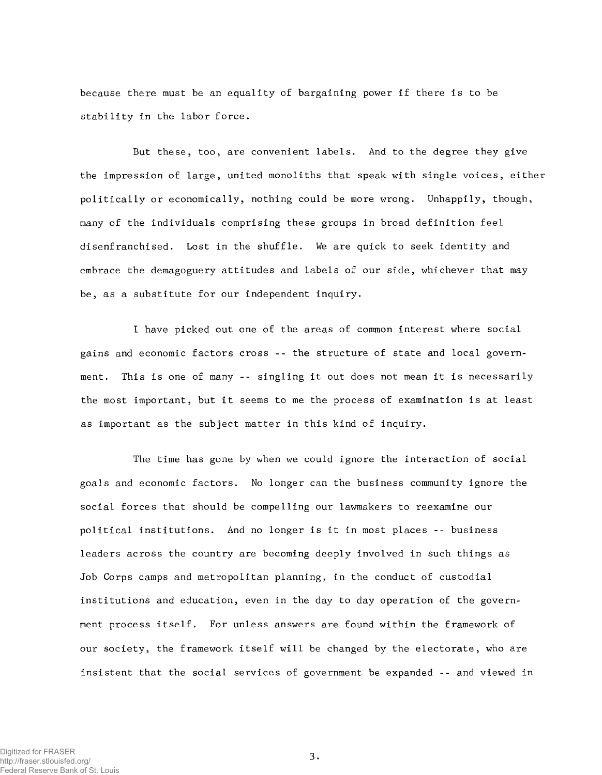because there must be an equality of bargaining power if there is to be stability in the labor force.

But these, too, are convenient labels. And to the degree they give the impression of large, united monoliths that speak with single voices, either politically or economically, nothing could be more wrong. Unhappily, though, many of the individuals comprising these groups in broad definition feel disenfranchised. Lost in the shuffle. We are quick to seek identity and embrace the demagoguery attitudes and labels of our side, whichever that may be, as a substitute for our independent inquiry.

I have picked out one of the areas of common interest where social gains and economic factors cross -- the structure of state and local government. This is one of many -- singling it out does not mean it is necessarily the most important, but it seems to me the process of examination is at least as important as the subject matter in this kind of inquiry.

The time has gone by when we could ignore the interaction of social goals and economic factors. No longer can the business community ignore the social forces that should be compelling our lawmakers to reexamine our political institutions. And no longer is it in most places -- business leaders across the country are becoming deeply involved in such things as Job Corps camps and metropolitan planning, in the conduct of custodial institutions and education, even in the day to day operation of the government process itself. For unless answers are found within the framework of our society, the framework itself will be changed by the electorate, who are insistent that the social services of government be expanded -- and viewed in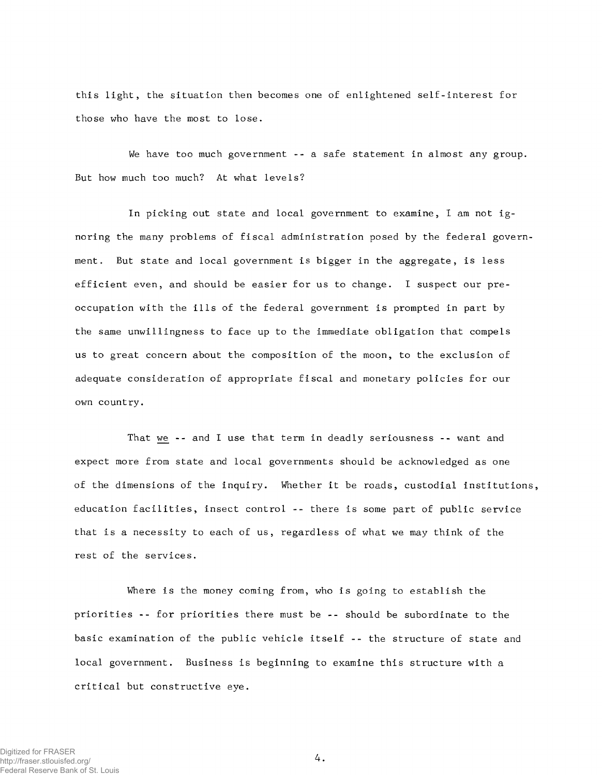this light, the situation then becomes one of enlightened self-interest for those who have the most to lose.

We have too much government -- a safe statement in almost any group. But how much too much? At what levels?

In picking out state and local government to examine, I am not ignoring the many problems of fiscal administration posed by the federal government. But state and local government is bigger in the aggregate, is less efficient even, and should be easier for us to change. I suspect our preoccupation with the ills of the federal government is prompted in part by the same unwillingness to face up to the immediate obligation that compels us to great concern about the composition of the moon, to the exclusion of adequate consideration of appropriate fiscal and monetary policies for our own country.

That we -- and I use that term in deadly seriousness -- want and expect more from state and local governments should be acknowledged as one of the dimensions of the inquiry. Whether it be roads, custodial institutions, education facilities, insect control -- there is some part of public service that is a necessity to each of us, regardless of what we may think of the rest of the services.

Where is the money coming from, who is going to establish the priorities -- for priorities there must be -- should be subordinate to the basic examination of the public vehicle itself -- the structure of state and local government. Business is beginning to examine this structure with a critical but constructive eye.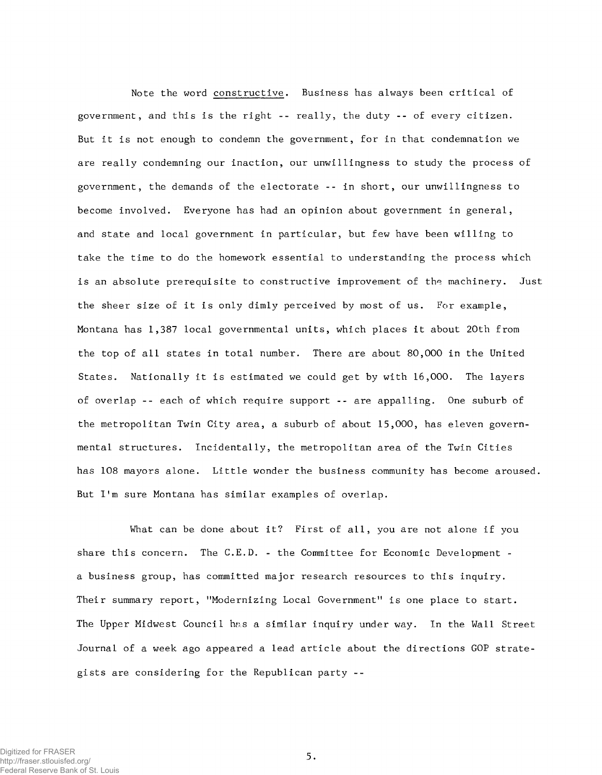Note the word constructive. Business has always been critical of government, and this is the right -- really, the duty -- of every citizen. But it is not enough to condemn the government, for in that condemnation we are really condemning our inaction, our unwillingness to study the process of government, the demands of the electorate -- in short, our unwillingness to become involved. Everyone has had an opinion about government in general, and state and local government in particular, but few have been willing to take the time to do the homework essential to understanding the process which is an absolute prerequisite to constructive improvement of the machinery. Just the sheer size of it is only dimly perceived by most of us. For example, Montana has 1,387 local governmental units, which places it about 20th from the top of all states in total number. There are about 80,000 in the United States. Nationally it is estimated we could get by with 16,000. The layers of overlap -- each of which require support -- are appalling. One suburb of the metropolitan Twin City area, a suburb of about 15,000, has eleven governmental structures. Incidentally, the metropolitan area of the Twin Cities has 108 mayors alone. Little wonder the business community has become aroused. But I'm sure Montana has similar examples of overlap.

What can be done about it? First of all, you are not alone if you share this concern. The C.E.D. - the Committee for Economic Development a business group, has committed major research resources to this inquiry. Their summary report, "Modernizing Local Government" is one place to start. The Upper Midwest Council has a similar inquiry under way. In the Wall Street Journal of a week ago appeared a lead article about the directions GOP strategists are considering for the Republican party --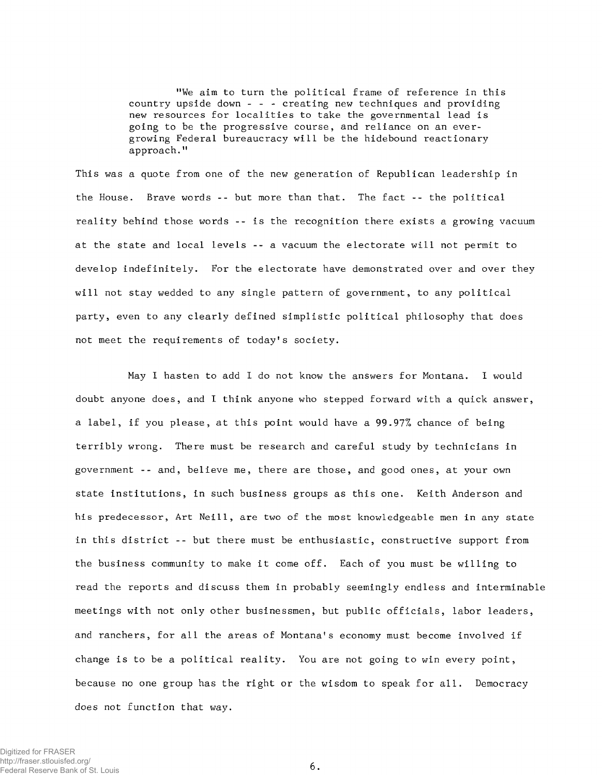"We aim to turn the political frame of reference in this country upside down - - - creating new techniques and providing new resources for localities to take the governmental lead is going to be the progressive course, and reliance on an evergrowing Federal bureaucracy will be the hidebound reactionary approach."

This was a quote from one of the new generation of Republican leadership in the House. Brave words -- but more than that. The fact -- the political reality behind those words -- is the recognition there exists a growing vacuum at the state and local levels -- a vacuum the electorate will not permit to develop indefinitely. For the electorate have demonstrated over and over they will not stay wedded to any single pattern of government, to any political party, even to any clearly defined simplistic political philosophy that does not meet the requirements of today's society.

May I hasten to add I do not know the answers for Montana. I would doubt anyone does, and I think anyone who stepped forward with a quick answer, a label, if you please, at this point would have a 99.97% chance of being terribly wrong. There must be research and careful study by technicians in government -- and, believe me, there are those, and good ones, at your own state institutions, in such business groups as this one. Keith Anderson and his predecessor, Art Neill, are two of the most knowledgeable men in any state in this district -- but there must be enthusiastic, constructive support from the business community to make it come off. Each of you must be willing to read the reports and discuss them in probably seemingly endless and interminable meetings with not only other businessmen, but public officials, labor leaders, and ranchers, for all the areas of Montana's economy must become involved if change is to be a political reality. You are not going to win every point, because no one group has the right or the wisdom to speak for all. Democracy does not function that way.

Digitized for FRASER http://fraser.stlouisfed.org/ Federal Reserve Bank of St. Louis